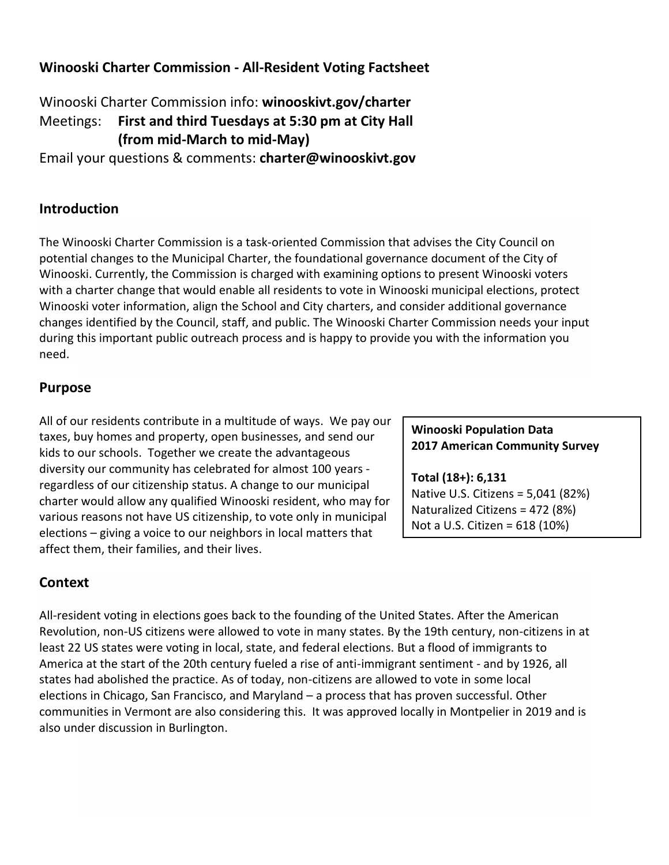# **Winooski Charter Commission - All-Resident Voting Factsheet**

Winooski Charter Commission info: **winooskivt.gov/charter** Meetings: **First and third Tuesdays at 5:30 pm at City Hall (from mid-March to mid-May)**

Email your questions & comments: **charter@winooskivt.gov**

### **Introduction**

The Winooski Charter Commission is a task-oriented Commission that advises the City Council on potential changes to the Municipal Charter, the foundational governance document of the City of Winooski. Currently, the Commission is charged with examining options to present Winooski voters with a charter change that would enable all residents to vote in Winooski municipal elections, protect Winooski voter information, align the School and City charters, and consider additional governance changes identified by the Council, staff, and public. The Winooski Charter Commission needs your input during this important public outreach process and is happy to provide you with the information you need.

### **Purpose**

All of our residents contribute in a multitude of ways. We pay our taxes, buy homes and property, open businesses, and send our kids to our schools. Together we create the advantageous diversity our community has celebrated for almost 100 years regardless of our citizenship status. A change to our municipal charter would allow any qualified Winooski resident, who may for various reasons not have US citizenship, to vote only in municipal elections – giving a voice to our neighbors in local matters that affect them, their families, and their lives.

## **Context**

All-resident voting in elections goes back to the founding of the United States. After the American Revolution, non-US citizens were allowed to vote in many states. By the 19th century, non-citizens in at least 22 US states were voting in local, state, and federal elections. But a flood of immigrants to America at the start of the 20th century fueled a rise of anti-immigrant sentiment - and by 1926, all states had abolished the practice. As of today, non-citizens are allowed to vote in some local elections in Chicago, San Francisco, and Maryland – a process that has proven successful. Other communities in Vermont are also considering this. It was approved locally in Montpelier in 2019 and is also under discussion in Burlington.

#### **Winooski Population Data 2017 American Community Survey**

**Total (18+): 6,131** Native U.S. Citizens = 5,041 (82%) Naturalized Citizens = 472 (8%) Not a U.S. Citizen = 618 (10%)